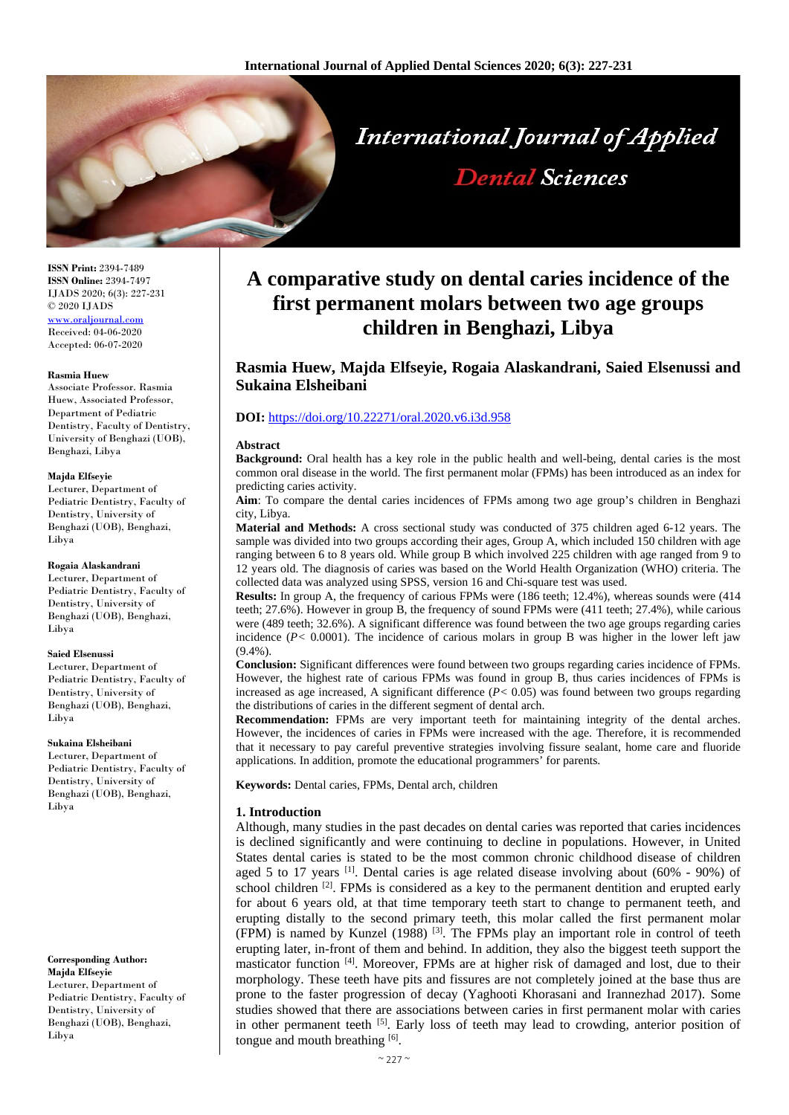

**ISSN Print:** 2394-7489 **ISSN Online:** 2394-7497 IJADS 2020; 6(3): 227-231 © 2020 IJADS [www.oraljournal.com](http://www.oraljournal.com/) Received: 04-06-2020 Accepted: 06-07-2020

#### **Rasmia Huew**

Associate Professor. Rasmia Huew, Associated Professor, Department of Pediatric Dentistry, Faculty of Dentistry, University of Benghazi (UOB), Benghazi, Libya

#### **Majda Elfseyie**

Lecturer, Department of Pediatric Dentistry, Faculty of Dentistry, University of Benghazi (UOB), Benghazi, Libya

## **Rogaia Alaskandrani**

Lecturer, Department of Pediatric Dentistry, Faculty of Dentistry, University of Benghazi (UOB), Benghazi, Libya

#### **Saied Elsenussi**

Lecturer, Department of Pediatric Dentistry, Faculty of Dentistry, University of Benghazi (UOB), Benghazi, Libya

# **Sukaina Elsheibani**

Lecturer, Department of Pediatric Dentistry, Faculty of Dentistry, University of Benghazi (UOB), Benghazi, Libya

**Corresponding Author: Majda Elfseyie** Lecturer, Department of Pediatric Dentistry, Faculty of Dentistry, University of Benghazi (UOB), Benghazi, Libya

# **A comparative study on dental caries incidence of the first permanent molars between two age groups children in Benghazi, Libya**

**Dental Sciences** 

# **Rasmia Huew, Majda Elfseyie, Rogaia Alaskandrani, Saied Elsenussi and Sukaina Elsheibani**

# **DOI:** <https://doi.org/10.22271/oral.2020.v6.i3d.958>

#### **Abstract**

**Background:** Oral health has a key role in the public health and well-being, dental caries is the most common oral disease in the world. The first permanent molar (FPMs) has been introduced as an index for predicting caries activity.

**Aim**: To compare the dental caries incidences of FPMs among two age group's children in Benghazi city, Libya.

**Material and Methods:** A cross sectional study was conducted of 375 children aged 6-12 years. The sample was divided into two groups according their ages, Group A, which included 150 children with age ranging between 6 to 8 years old. While group B which involved 225 children with age ranged from 9 to 12 years old. The diagnosis of caries was based on the World Health Organization (WHO) criteria. The collected data was analyzed using SPSS, version 16 and Chi-square test was used.

**Results:** In group A, the frequency of carious FPMs were (186 teeth; 12.4%), whereas sounds were (414 teeth; 27.6%). However in group B, the frequency of sound FPMs were (411 teeth; 27.4%), while carious were (489 teeth; 32.6%). A significant difference was found between the two age groups regarding caries incidence  $(P< 0.0001)$ . The incidence of carious molars in group B was higher in the lower left jaw  $(9.4\%)$ .

**Conclusion:** Significant differences were found between two groups regarding caries incidence of FPMs. However, the highest rate of carious FPMs was found in group B, thus caries incidences of FPMs is increased as age increased, A significant difference  $(P< 0.05)$  was found between two groups regarding the distributions of caries in the different segment of dental arch.

**Recommendation:** FPMs are very important teeth for maintaining integrity of the dental arches. However, the incidences of caries in FPMs were increased with the age. Therefore, it is recommended that it necessary to pay careful preventive strategies involving fissure sealant, home care and fluoride applications. In addition, promote the educational programmers' for parents.

**Keywords:** Dental caries, FPMs, Dental arch, children

# **1. Introduction**

Although, many studies in the past decades on dental caries was reported that caries incidences is declined significantly and were continuing to decline in populations. However, in United States dental caries is stated to be the most common chronic childhood disease of children aged 5 to 17 years  $\left[1\right]$ . Dental caries is age related disease involving about (60% - 90%) of school children  $[2]$ . FPMs is considered as a key to the permanent dentition and erupted early for about 6 years old, at that time temporary teeth start to change to permanent teeth, and erupting distally to the second primary teeth, this molar called the first permanent molar (FPM) is named by Kunzel (1988) [3]. The FPMs play an important role in control of teeth erupting later, in-front of them and behind. In addition, they also the biggest teeth support the masticator function [4]. Moreover, FPMs are at higher risk of damaged and lost, due to their morphology. These teeth have pits and fissures are not completely joined at the base thus are prone to the faster progression of decay (Yaghooti Khorasani and Irannezhad 2017). Some studies showed that there are associations between caries in first permanent molar with caries in other permanent teeth <sup>[5]</sup>. Early loss of teeth may lead to crowding, anterior position of tongue and mouth breathing [6].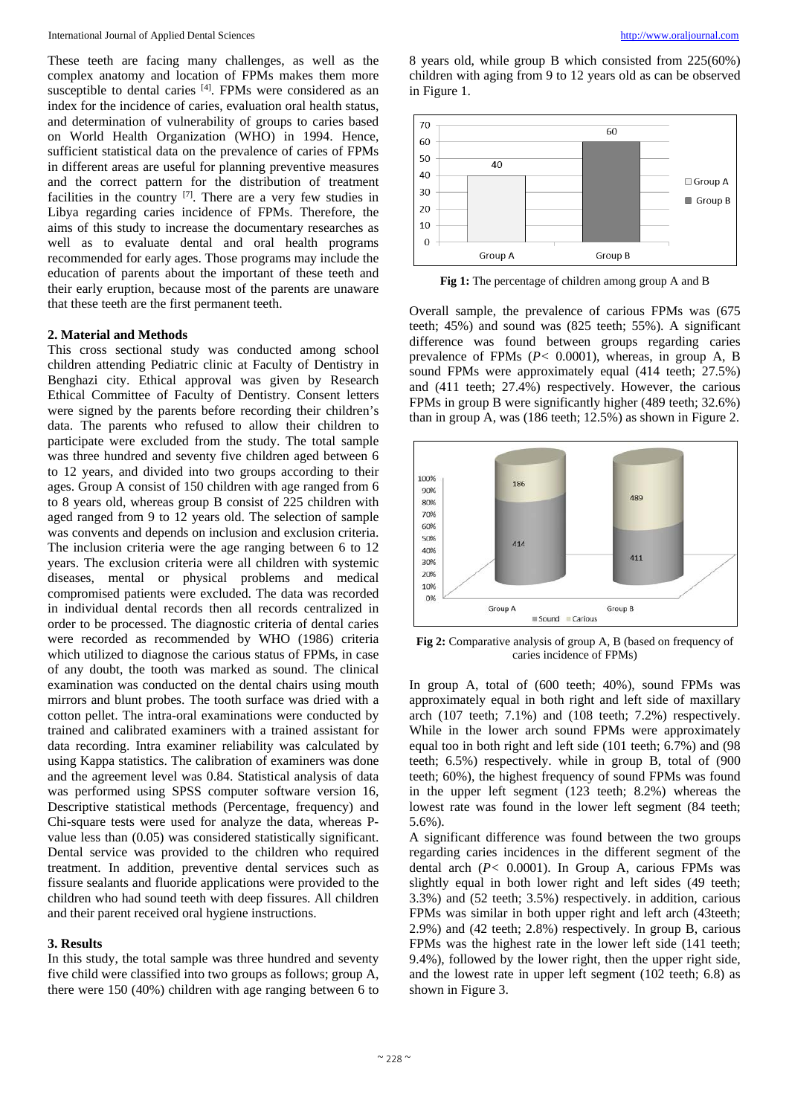These teeth are facing many challenges, as well as the complex anatomy and location of FPMs makes them more susceptible to dental caries [4]. FPMs were considered as an index for the incidence of caries, evaluation oral health status, and determination of vulnerability of groups to caries based on World Health Organization (WHO) in 1994. Hence, sufficient statistical data on the prevalence of caries of FPMs in different areas are useful for planning preventive measures and the correct pattern for the distribution of treatment facilities in the country [7]. There are a very few studies in Libya regarding caries incidence of FPMs. Therefore, the aims of this study to increase the documentary researches as well as to evaluate dental and oral health programs recommended for early ages. Those programs may include the education of parents about the important of these teeth and their early eruption, because most of the parents are unaware that these teeth are the first permanent teeth.

# **2. Material and Methods**

This cross sectional study was conducted among school children attending Pediatric clinic at Faculty of Dentistry in Benghazi city. Ethical approval was given by Research Ethical Committee of Faculty of Dentistry. Consent letters were signed by the parents before recording their children's data. The parents who refused to allow their children to participate were excluded from the study. The total sample was three hundred and seventy five children aged between 6 to 12 years, and divided into two groups according to their ages. Group A consist of 150 children with age ranged from 6 to 8 years old, whereas group B consist of 225 children with aged ranged from 9 to 12 years old. The selection of sample was convents and depends on inclusion and exclusion criteria. The inclusion criteria were the age ranging between 6 to 12 years. The exclusion criteria were all children with systemic diseases, mental or physical problems and medical compromised patients were excluded. The data was recorded in individual dental records then all records centralized in order to be processed. The diagnostic criteria of dental caries were recorded as recommended by WHO (1986) criteria which utilized to diagnose the carious status of FPMs, in case of any doubt, the tooth was marked as sound. The clinical examination was conducted on the dental chairs using mouth mirrors and blunt probes. The tooth surface was dried with a cotton pellet. The intra-oral examinations were conducted by trained and calibrated examiners with a trained assistant for data recording. Intra examiner reliability was calculated by using Kappa statistics. The calibration of examiners was done and the agreement level was 0.84. Statistical analysis of data was performed using SPSS computer software version 16, Descriptive statistical methods (Percentage, frequency) and Chi-square tests were used for analyze the data, whereas Pvalue less than (0.05) was considered statistically significant. Dental service was provided to the children who required treatment. In addition, preventive dental services such as fissure sealants and fluoride applications were provided to the children who had sound teeth with deep fissures. All children and their parent received oral hygiene instructions.

## **3. Results**

In this study, the total sample was three hundred and seventy five child were classified into two groups as follows; group A, there were 150 (40%) children with age ranging between 6 to

8 years old, while group B which consisted from 225(60%) children with aging from 9 to 12 years old as can be observed in Figure 1.



**Fig 1:** The percentage of children among group A and B

Overall sample, the prevalence of carious FPMs was (675 teeth; 45%) and sound was (825 teeth; 55%). A significant difference was found between groups regarding caries prevalence of FPMs (*P<* 0.0001), whereas, in group A, B sound FPMs were approximately equal (414 teeth; 27.5%) and (411 teeth; 27.4%) respectively. However, the carious FPMs in group B were significantly higher (489 teeth; 32.6%) than in group A, was (186 teeth; 12.5%) as shown in Figure 2.



**Fig 2:** Comparative analysis of group A, B (based on frequency of caries incidence of FPMs)

In group A, total of (600 teeth; 40%), sound FPMs was approximately equal in both right and left side of maxillary arch (107 teeth; 7.1%) and (108 teeth; 7.2%) respectively. While in the lower arch sound FPMs were approximately equal too in both right and left side (101 teeth; 6.7%) and (98 teeth; 6.5%) respectively. while in group B, total of (900 teeth; 60%), the highest frequency of sound FPMs was found in the upper left segment (123 teeth; 8.2%) whereas the lowest rate was found in the lower left segment (84 teeth; 5.6%).

A significant difference was found between the two groups regarding caries incidences in the different segment of the dental arch (*P<* 0.0001). In Group A, carious FPMs was slightly equal in both lower right and left sides (49 teeth; 3.3%) and (52 teeth; 3.5%) respectively. in addition, carious FPMs was similar in both upper right and left arch (43teeth; 2.9%) and (42 teeth; 2.8%) respectively. In group B, carious FPMs was the highest rate in the lower left side (141 teeth; 9.4%), followed by the lower right, then the upper right side, and the lowest rate in upper left segment (102 teeth; 6.8) as shown in Figure 3.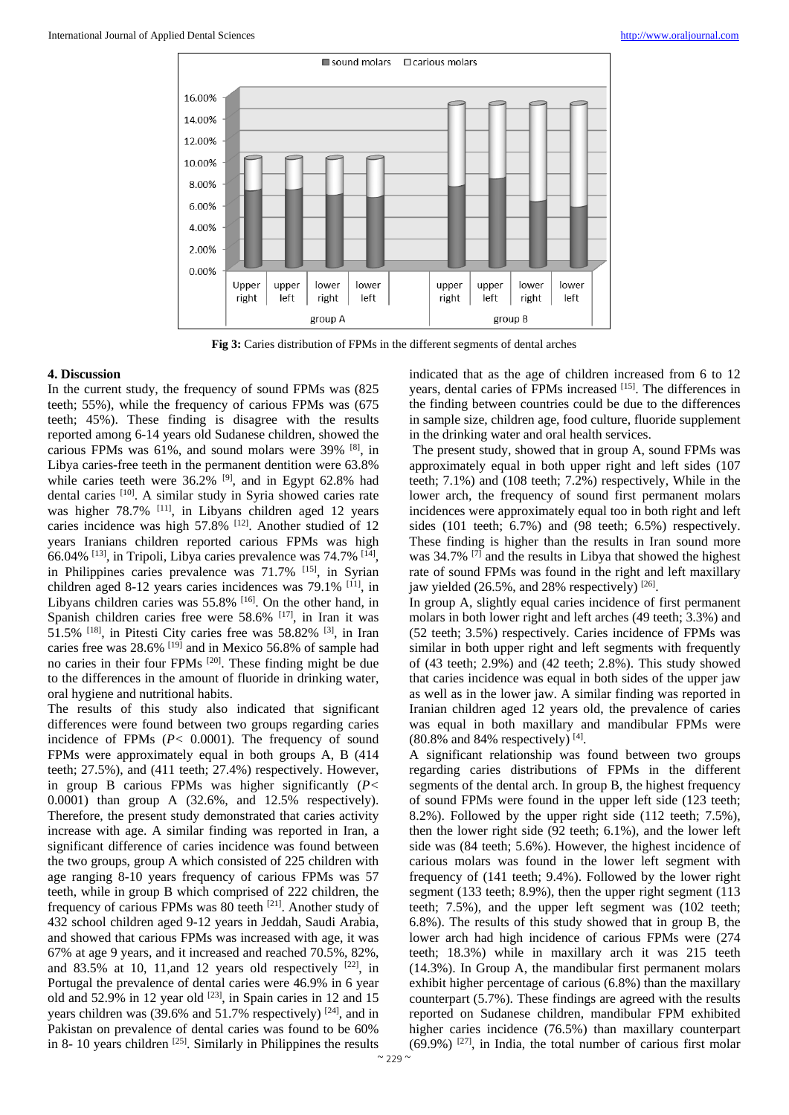

**Fig 3:** Caries distribution of FPMs in the different segments of dental arches

# **4. Discussion**

In the current study, the frequency of sound FPMs was (825 teeth; 55%), while the frequency of carious FPMs was (675 teeth; 45%). These finding is disagree with the results reported among 6-14 years old Sudanese children, showed the carious FPMs was 61%, and sound molars were 39% [8], in Libya caries-free teeth in the permanent dentition were 63.8% while caries teeth were  $36.2\%$  <sup>[9]</sup>, and in Egypt 62.8% had dental caries [10]. A similar study in Syria showed caries rate was higher 78.7% <sup>[11]</sup>, in Libyans children aged 12 years caries incidence was high 57.8% <sup>[12]</sup>. Another studied of 12 years Iranians children reported carious FPMs was high 66.04% [13], in Tripoli, Libya caries prevalence was 74.7% [14], in Philippines caries prevalence was 71.7% [15], in Syrian children aged 8-12 years caries incidences was  $79.1\%$  [11], in Libyans children caries was 55.8% <sup>[16]</sup>. On the other hand, in Spanish children caries free were 58.6% [17], in Iran it was  $51.5\%$  <sup>[18]</sup>, in Pitesti City caries free was  $58.82\%$  <sup>[3]</sup>, in Iran caries free was 28.6% [19] and in Mexico 56.8% of sample had no caries in their four FPMs [20]. These finding might be due to the differences in the amount of fluoride in drinking water, oral hygiene and nutritional habits.

The results of this study also indicated that significant differences were found between two groups regarding caries incidence of FPMs (*P<* 0.0001). The frequency of sound FPMs were approximately equal in both groups A, B (414 teeth; 27.5%), and (411 teeth; 27.4%) respectively. However, in group B carious FPMs was higher significantly (*P<* 0.0001) than group A (32.6%, and 12.5% respectively). Therefore, the present study demonstrated that caries activity increase with age. A similar finding was reported in Iran, a significant difference of caries incidence was found between the two groups, group A which consisted of 225 children with age ranging 8-10 years frequency of carious FPMs was 57 teeth, while in group B which comprised of 222 children, the frequency of carious FPMs was 80 teeth [21]. Another study of 432 school children aged 9-12 years in Jeddah, Saudi Arabia, and showed that carious FPMs was increased with age, it was 67% at age 9 years, and it increased and reached 70.5%, 82%, and 83.5% at 10, 11, and 12 years old respectively  $[22]$ , in Portugal the prevalence of dental caries were 46.9% in 6 year old and  $52.9\%$  in 12 year old  $[23]$ , in Spain caries in 12 and 15 years children was  $(39.6\% \text{ and } 51.7\% \text{ respectively})$  [24], and in Pakistan on prevalence of dental caries was found to be 60% in 8- 10 years children  $[25]$ . Similarly in Philippines the results

indicated that as the age of children increased from 6 to 12 years, dental caries of FPMs increased [15]. The differences in the finding between countries could be due to the differences in sample size, children age, food culture, fluoride supplement in the drinking water and oral health services.

The present study, showed that in group A, sound FPMs was approximately equal in both upper right and left sides (107 teeth; 7.1%) and (108 teeth; 7.2%) respectively, While in the lower arch, the frequency of sound first permanent molars incidences were approximately equal too in both right and left sides (101 teeth; 6.7%) and (98 teeth; 6.5%) respectively. These finding is higher than the results in Iran sound more was 34.7% <sup>[7]</sup> and the results in Libya that showed the highest rate of sound FPMs was found in the right and left maxillary jaw yielded  $(26.5\%$ , and 28% respectively)  $^{[26]}$ .

In group A, slightly equal caries incidence of first permanent molars in both lower right and left arches (49 teeth; 3.3%) and (52 teeth; 3.5%) respectively. Caries incidence of FPMs was similar in both upper right and left segments with frequently of (43 teeth; 2.9%) and (42 teeth; 2.8%). This study showed that caries incidence was equal in both sides of the upper jaw as well as in the lower jaw. A similar finding was reported in Iranian children aged 12 years old, the prevalence of caries was equal in both maxillary and mandibular FPMs were  $(80.8\%$  and 84% respectively) [4].

A significant relationship was found between two groups regarding caries distributions of FPMs in the different segments of the dental arch. In group B, the highest frequency of sound FPMs were found in the upper left side (123 teeth; 8.2%). Followed by the upper right side (112 teeth; 7.5%), then the lower right side (92 teeth; 6.1%), and the lower left side was (84 teeth; 5.6%). However, the highest incidence of carious molars was found in the lower left segment with frequency of (141 teeth; 9.4%). Followed by the lower right segment (133 teeth; 8.9%), then the upper right segment (113 teeth; 7.5%), and the upper left segment was (102 teeth; 6.8%). The results of this study showed that in group B, the lower arch had high incidence of carious FPMs were (274 teeth; 18.3%) while in maxillary arch it was 215 teeth (14.3%). In Group A, the mandibular first permanent molars exhibit higher percentage of carious (6.8%) than the maxillary counterpart (5.7%). These findings are agreed with the results reported on Sudanese children, mandibular FPM exhibited higher caries incidence (76.5%) than maxillary counterpart  $(69.9\%)$  <sup>[27]</sup>, in India, the total number of carious first molar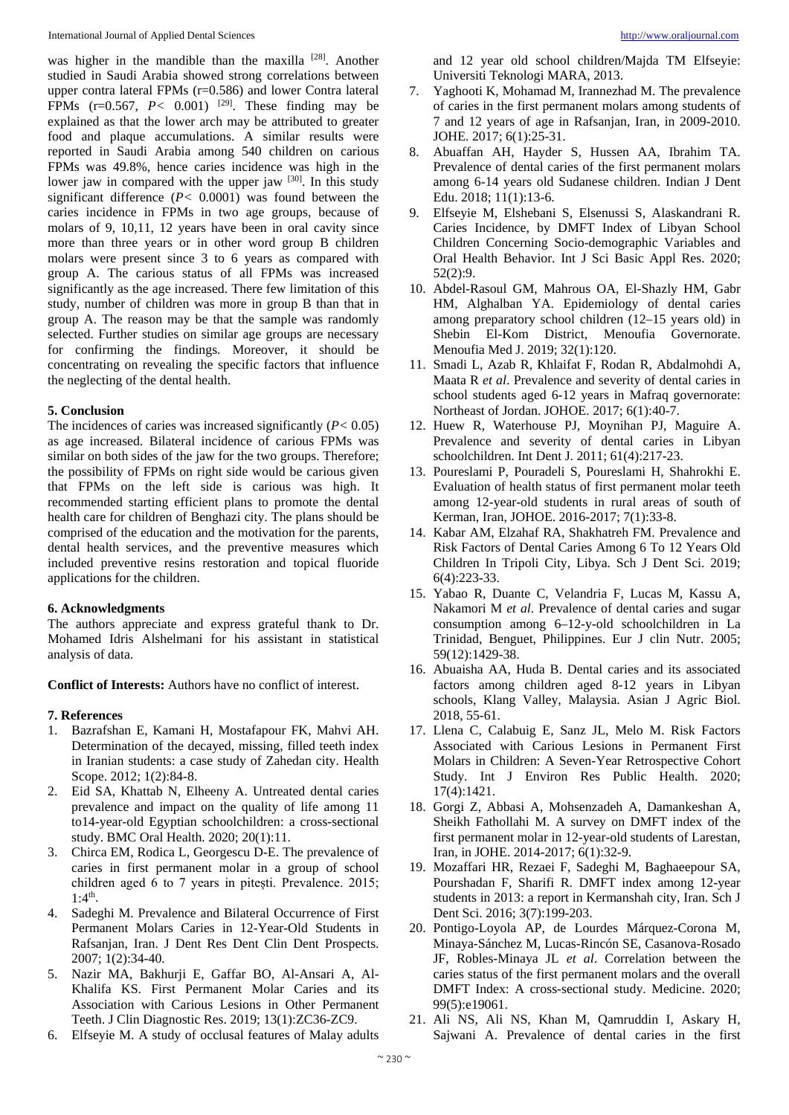was higher in the mandible than the maxilla [28]. Another studied in Saudi Arabia showed strong correlations between upper contra lateral FPMs (r=0.586) and lower Contra lateral FPMs  $(r=0.567, P < 0.001)$  <sup>[29]</sup>. These finding may be explained as that the lower arch may be attributed to greater food and plaque accumulations. A similar results were reported in Saudi Arabia among 540 children on carious FPMs was 49.8%, hence caries incidence was high in the lower jaw in compared with the upper jaw  $[30]$ . In this study significant difference  $(P< 0.0001)$  was found between the caries incidence in FPMs in two age groups, because of molars of 9, 10,11, 12 years have been in oral cavity since more than three years or in other word group B children molars were present since 3 to 6 years as compared with group A. The carious status of all FPMs was increased significantly as the age increased. There few limitation of this study, number of children was more in group B than that in group A. The reason may be that the sample was randomly selected. Further studies on similar age groups are necessary for confirming the findings. Moreover, it should be concentrating on revealing the specific factors that influence the neglecting of the dental health.

# **5. Conclusion**

The incidences of caries was increased significantly (*P<* 0.05) as age increased. Bilateral incidence of carious FPMs was similar on both sides of the jaw for the two groups. Therefore; the possibility of FPMs on right side would be carious given that FPMs on the left side is carious was high. It recommended starting efficient plans to promote the dental health care for children of Benghazi city. The plans should be comprised of the education and the motivation for the parents, dental health services, and the preventive measures which included preventive resins restoration and topical fluoride applications for the children.

# **6. Acknowledgments**

The authors appreciate and express grateful thank to Dr. Mohamed Idris Alshelmani for his assistant in statistical analysis of data.

**Conflict of Interests:** Authors have no conflict of interest.

# **7. References**

- 1. Bazrafshan E, Kamani H, Mostafapour FK, Mahvi AH. Determination of the decayed, missing, filled teeth index in Iranian students: a case study of Zahedan city. Health Scope. 2012; 1(2):84-8.
- 2. Eid SA, Khattab N, Elheeny A. Untreated dental caries prevalence and impact on the quality of life among 11 to14-year-old Egyptian schoolchildren: a cross-sectional study. BMC Oral Health. 2020; 20(1):11.
- 3. Chirca EM, Rodica L, Georgescu D-E. The prevalence of caries in first permanent molar in a group of school children aged 6 to 7 years in pitești. Prevalence. 2015;  $1:4^{th}$ .
- 4. Sadeghi M. Prevalence and Bilateral Occurrence of First Permanent Molars Caries in 12-Year-Old Students in Rafsanjan, Iran. J Dent Res Dent Clin Dent Prospects. 2007; 1(2):34-40.
- 5. Nazir MA, Bakhurji E, Gaffar BO, Al-Ansari A, Al-Khalifa KS. First Permanent Molar Caries and its Association with Carious Lesions in Other Permanent Teeth. J Clin Diagnostic Res. 2019; 13(1):ZC36-ZC9.
- 6. Elfseyie M. A study of occlusal features of Malay adults

and 12 year old school children/Majda TM Elfseyie: Universiti Teknologi MARA, 2013.

- 7. Yaghooti K, Mohamad M, Irannezhad M. The prevalence of caries in the first permanent molars among students of 7 and 12 years of age in Rafsanjan, Iran, in 2009-2010. JOHE. 2017; 6(1):25-31.
- 8. Abuaffan AH, Hayder S, Hussen AA, Ibrahim TA. Prevalence of dental caries of the first permanent molars among 6‑14 years old Sudanese children. Indian J Dent Edu. 2018; 11(1):13-6.
- 9. Elfseyie M, Elshebani S, Elsenussi S, Alaskandrani R. Caries Incidence, by DMFT Index of Libyan School Children Concerning Socio-demographic Variables and Oral Health Behavior. Int J Sci Basic Appl Res. 2020; 52(2):9.
- 10. Abdel-Rasoul GM, Mahrous OA, El-Shazly HM, Gabr HM, Alghalban YA. Epidemiology of dental caries among preparatory school children (12–15 years old) in Shebin El-Kom District, Menoufia Governorate. Menoufia Med J. 2019; 32(1):120.
- 11. Smadi L, Azab R, Khlaifat F, Rodan R, Abdalmohdi A, Maata R *et al*. Prevalence and severity of dental caries in school students aged 6-12 years in Mafraq governorate: Northeast of Jordan. JOHOE. 2017; 6(1):40-7.
- 12. Huew R, Waterhouse PJ, Moynihan PJ, Maguire A. Prevalence and severity of dental caries in Libyan schoolchildren. Int Dent J. 2011; 61(4):217-23.
- 13. Poureslami P, Pouradeli S, Poureslami H, Shahrokhi E. Evaluation of health status of first permanent molar teeth among 12-year-old students in rural areas of south of Kerman, Iran, JOHOE. 2016-2017; 7(1):33-8.
- 14. Kabar AM, Elzahaf RA, Shakhatreh FM. Prevalence and Risk Factors of Dental Caries Among 6 To 12 Years Old Children In Tripoli City, Libya. Sch J Dent Sci. 2019; 6(4):223-33.
- 15. Yabao R, Duante C, Velandria F, Lucas M, Kassu A, Nakamori M *et al*. Prevalence of dental caries and sugar consumption among 6–12-y-old schoolchildren in La Trinidad, Benguet, Philippines. Eur J clin Nutr. 2005; 59(12):1429-38.
- 16. Abuaisha AA, Huda B. Dental caries and its associated factors among children aged 8-12 years in Libyan schools, Klang Valley, Malaysia. Asian J Agric Biol. 2018, 55-61.
- 17. Llena C, Calabuig E, Sanz JL, Melo M. Risk Factors Associated with Carious Lesions in Permanent First Molars in Children: A Seven-Year Retrospective Cohort Study. Int J Environ Res Public Health. 2020; 17(4):1421.
- 18. Gorgi Z, Abbasi A, Mohsenzadeh A, Damankeshan A, Sheikh Fathollahi M. A survey on DMFT index of the first permanent molar in 12-year-old students of Larestan, Iran, in JOHE. 2014-2017; 6(1):32-9.
- 19. Mozaffari HR, Rezaei F, Sadeghi M, Baghaeepour SA, Pourshadan F, Sharifi R. DMFT index among 12-year students in 2013: a report in Kermanshah city, Iran. Sch J Dent Sci. 2016; 3(7):199-203.
- 20. Pontigo-Loyola AP, de Lourdes Márquez-Corona M, Minaya-Sánchez M, Lucas-Rincón SE, Casanova-Rosado JF, Robles-Minaya JL *et al*. Correlation between the caries status of the first permanent molars and the overall DMFT Index: A cross-sectional study. Medicine. 2020; 99(5):e19061.
- 21. Ali NS, Ali NS, Khan M, Qamruddin I, Askary H, Sajwani A. Prevalence of dental caries in the first